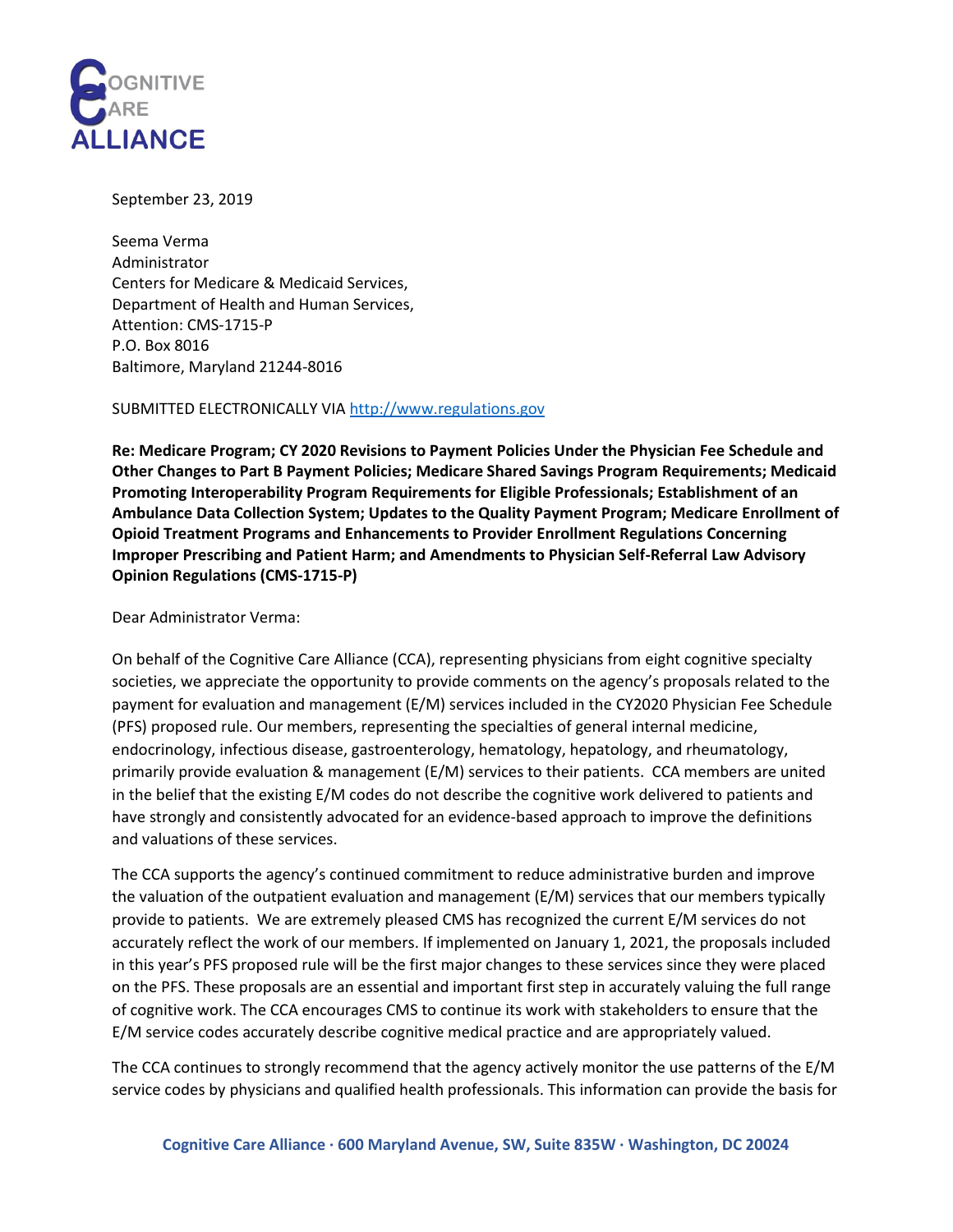

#### September 23, 2019

Seema Verma Administrator Centers for Medicare & Medicaid Services, Department of Health and Human Services, Attention: CMS-1715-P P.O. Box 8016 Baltimore, Maryland 21244-8016

#### SUBMITTED ELECTRONICALLY VI[A http://www.regulations.gov](http://www.regulations.gov/)

**Re: Medicare Program; CY 2020 Revisions to Payment Policies Under the Physician Fee Schedule and Other Changes to Part B Payment Policies; Medicare Shared Savings Program Requirements; Medicaid Promoting Interoperability Program Requirements for Eligible Professionals; Establishment of an Ambulance Data Collection System; Updates to the Quality Payment Program; Medicare Enrollment of Opioid Treatment Programs and Enhancements to Provider Enrollment Regulations Concerning Improper Prescribing and Patient Harm; and Amendments to Physician Self-Referral Law Advisory Opinion Regulations (CMS-1715-P)** 

Dear Administrator Verma:

On behalf of the Cognitive Care Alliance (CCA), representing physicians from eight cognitive specialty societies, we appreciate the opportunity to provide comments on the agency's proposals related to the payment for evaluation and management (E/M) services included in the CY2020 Physician Fee Schedule (PFS) proposed rule. Our members, representing the specialties of general internal medicine, endocrinology, infectious disease, gastroenterology, hematology, hepatology, and rheumatology, primarily provide evaluation & management (E/M) services to their patients. CCA members are united in the belief that the existing E/M codes do not describe the cognitive work delivered to patients and have strongly and consistently advocated for an evidence-based approach to improve the definitions and valuations of these services.

The CCA supports the agency's continued commitment to reduce administrative burden and improve the valuation of the outpatient evaluation and management (E/M) services that our members typically provide to patients.We are extremely pleased CMS has recognized the current E/M services do not accurately reflect the work of our members. If implemented on January 1, 2021, the proposals included in this year's PFS proposed rule will be the first major changes to these services since they were placed on the PFS. These proposals are an essential and important first step in accurately valuing the full range of cognitive work. The CCA encourages CMS to continue its work with stakeholders to ensure that the E/M service codes accurately describe cognitive medical practice and are appropriately valued.

The CCA continues to strongly recommend that the agency actively monitor the use patterns of the E/M service codes by physicians and qualified health professionals. This information can provide the basis for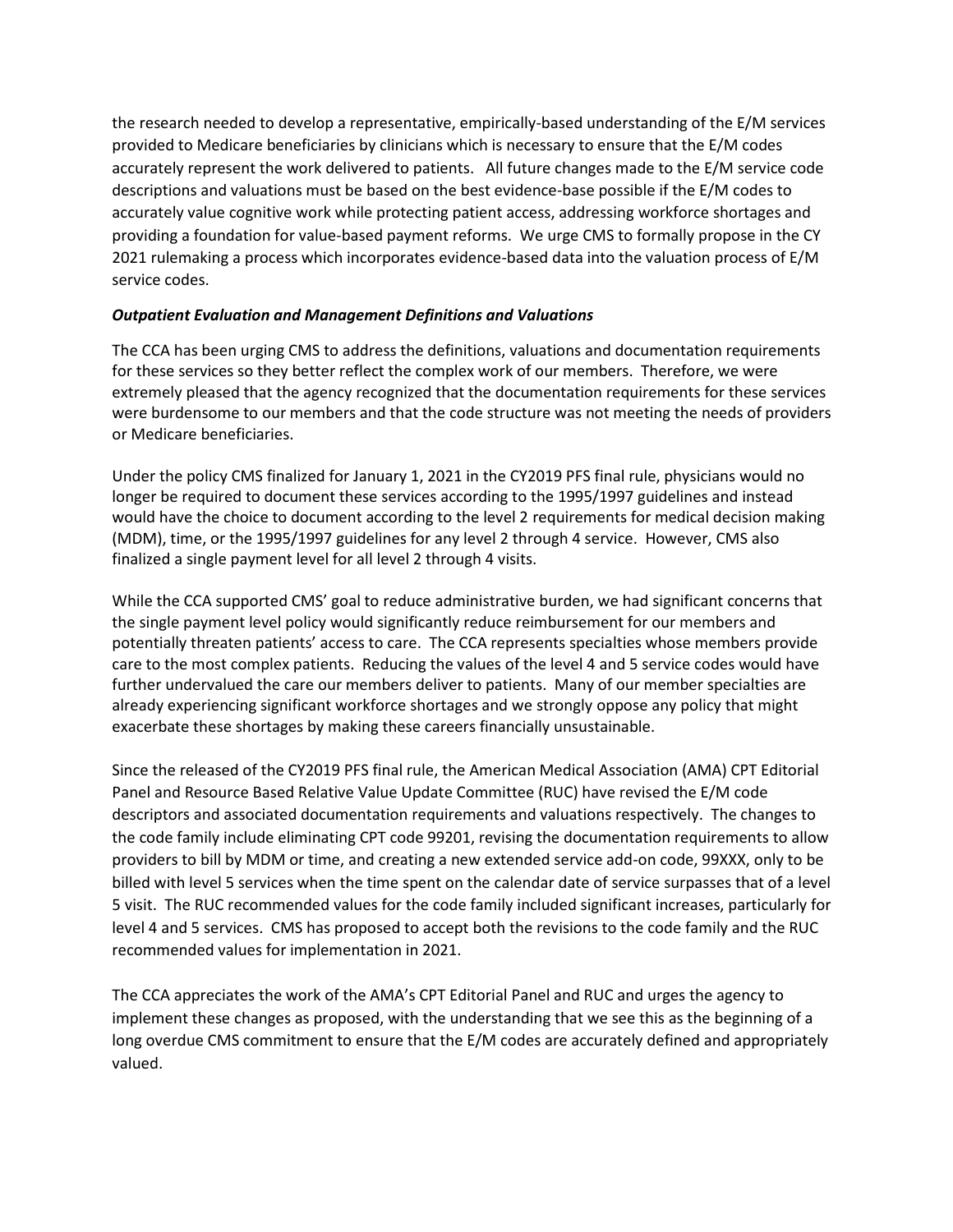the research needed to develop a representative, empirically-based understanding of the E/M services provided to Medicare beneficiaries by clinicians which is necessary to ensure that the E/M codes accurately represent the work delivered to patients. All future changes made to the E/M service code descriptions and valuations must be based on the best evidence-base possible if the E/M codes to accurately value cognitive work while protecting patient access, addressing workforce shortages and providing a foundation for value-based payment reforms. We urge CMS to formally propose in the CY 2021 rulemaking a process which incorporates evidence-based data into the valuation process of E/M service codes.

### *Outpatient Evaluation and Management Definitions and Valuations*

The CCA has been urging CMS to address the definitions, valuations and documentation requirements for these services so they better reflect the complex work of our members. Therefore, we were extremely pleased that the agency recognized that the documentation requirements for these services were burdensome to our members and that the code structure was not meeting the needs of providers or Medicare beneficiaries.

Under the policy CMS finalized for January 1, 2021 in the CY2019 PFS final rule, physicians would no longer be required to document these services according to the 1995/1997 guidelines and instead would have the choice to document according to the level 2 requirements for medical decision making (MDM), time, or the 1995/1997 guidelines for any level 2 through 4 service. However, CMS also finalized a single payment level for all level 2 through 4 visits.

While the CCA supported CMS' goal to reduce administrative burden, we had significant concerns that the single payment level policy would significantly reduce reimbursement for our members and potentially threaten patients' access to care. The CCA represents specialties whose members provide care to the most complex patients. Reducing the values of the level 4 and 5 service codes would have further undervalued the care our members deliver to patients. Many of our member specialties are already experiencing significant workforce shortages and we strongly oppose any policy that might exacerbate these shortages by making these careers financially unsustainable.

Since the released of the CY2019 PFS final rule, the American Medical Association (AMA) CPT Editorial Panel and Resource Based Relative Value Update Committee (RUC) have revised the E/M code descriptors and associated documentation requirements and valuations respectively. The changes to the code family include eliminating CPT code 99201, revising the documentation requirements to allow providers to bill by MDM or time, and creating a new extended service add-on code, 99XXX, only to be billed with level 5 services when the time spent on the calendar date of service surpasses that of a level 5 visit. The RUC recommended values for the code family included significant increases, particularly for level 4 and 5 services. CMS has proposed to accept both the revisions to the code family and the RUC recommended values for implementation in 2021.

The CCA appreciates the work of the AMA's CPT Editorial Panel and RUC and urges the agency to implement these changes as proposed, with the understanding that we see this as the beginning of a long overdue CMS commitment to ensure that the E/M codes are accurately defined and appropriately valued.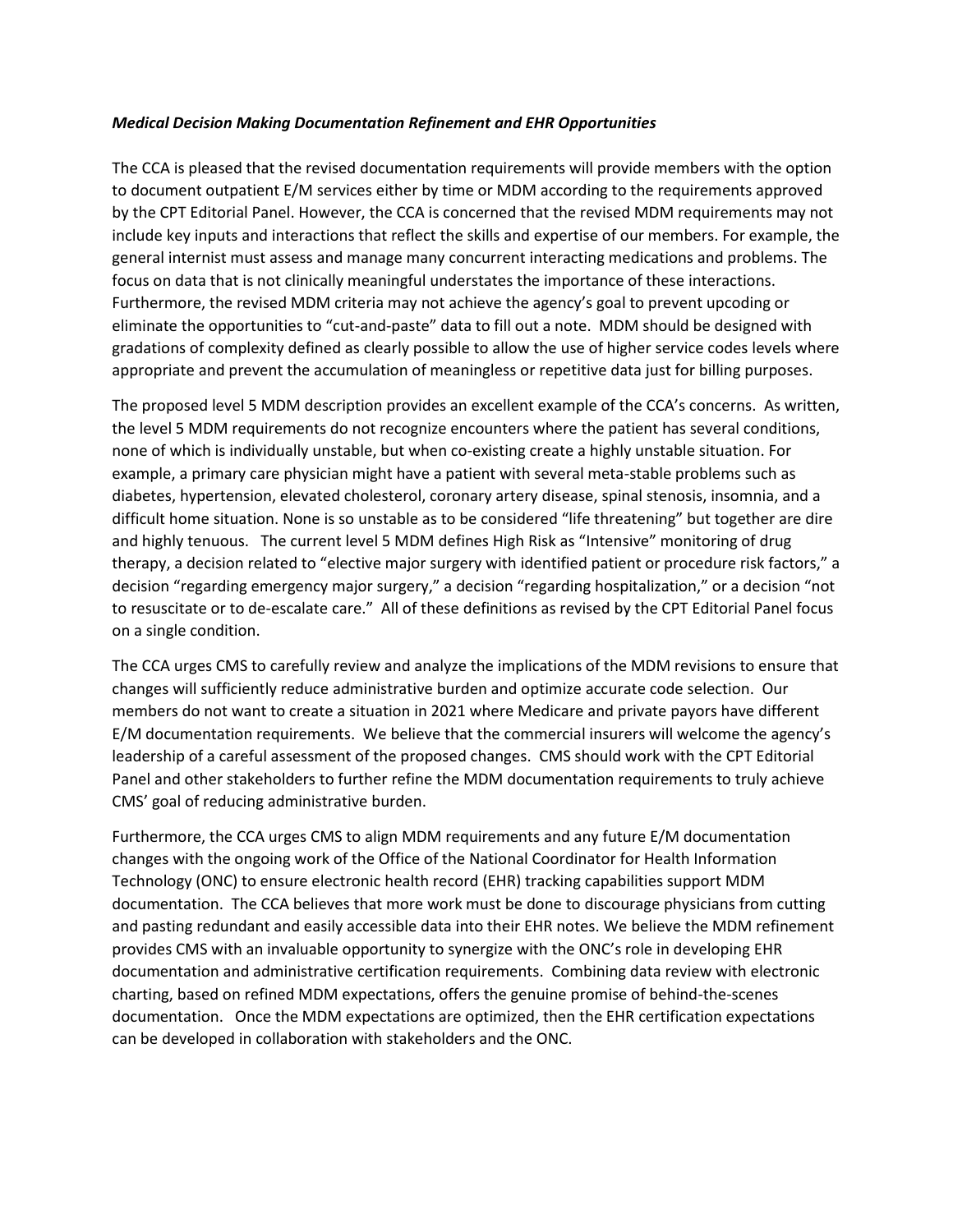#### *Medical Decision Making Documentation Refinement and EHR Opportunities*

The CCA is pleased that the revised documentation requirements will provide members with the option to document outpatient E/M services either by time or MDM according to the requirements approved by the CPT Editorial Panel. However, the CCA is concerned that the revised MDM requirements may not include key inputs and interactions that reflect the skills and expertise of our members. For example, the general internist must assess and manage many concurrent interacting medications and problems. The focus on data that is not clinically meaningful understates the importance of these interactions. Furthermore, the revised MDM criteria may not achieve the agency's goal to prevent upcoding or eliminate the opportunities to "cut-and-paste" data to fill out a note. MDM should be designed with gradations of complexity defined as clearly possible to allow the use of higher service codes levels where appropriate and prevent the accumulation of meaningless or repetitive data just for billing purposes.

The proposed level 5 MDM description provides an excellent example of the CCA's concerns. As written, the level 5 MDM requirements do not recognize encounters where the patient has several conditions, none of which is individually unstable, but when co-existing create a highly unstable situation. For example, a primary care physician might have a patient with several meta-stable problems such as diabetes, hypertension, elevated cholesterol, coronary artery disease, spinal stenosis, insomnia, and a difficult home situation. None is so unstable as to be considered "life threatening" but together are dire and highly tenuous. The current level 5 MDM defines High Risk as "Intensive" monitoring of drug therapy, a decision related to "elective major surgery with identified patient or procedure risk factors," a decision "regarding emergency major surgery," a decision "regarding hospitalization," or a decision "not to resuscitate or to de-escalate care." All of these definitions as revised by the CPT Editorial Panel focus on a single condition.

The CCA urges CMS to carefully review and analyze the implications of the MDM revisions to ensure that changes will sufficiently reduce administrative burden and optimize accurate code selection. Our members do not want to create a situation in 2021 where Medicare and private payors have different E/M documentation requirements. We believe that the commercial insurers will welcome the agency's leadership of a careful assessment of the proposed changes. CMS should work with the CPT Editorial Panel and other stakeholders to further refine the MDM documentation requirements to truly achieve CMS' goal of reducing administrative burden.

Furthermore, the CCA urges CMS to align MDM requirements and any future E/M documentation changes with the ongoing work of the Office of the National Coordinator for Health Information Technology (ONC) to ensure electronic health record (EHR) tracking capabilities support MDM documentation. The CCA believes that more work must be done to discourage physicians from cutting and pasting redundant and easily accessible data into their EHR notes. We believe the MDM refinement provides CMS with an invaluable opportunity to synergize with the ONC's role in developing EHR documentation and administrative certification requirements. Combining data review with electronic charting, based on refined MDM expectations, offers the genuine promise of behind-the-scenes documentation. Once the MDM expectations are optimized, then the EHR certification expectations can be developed in collaboration with stakeholders and the ONC.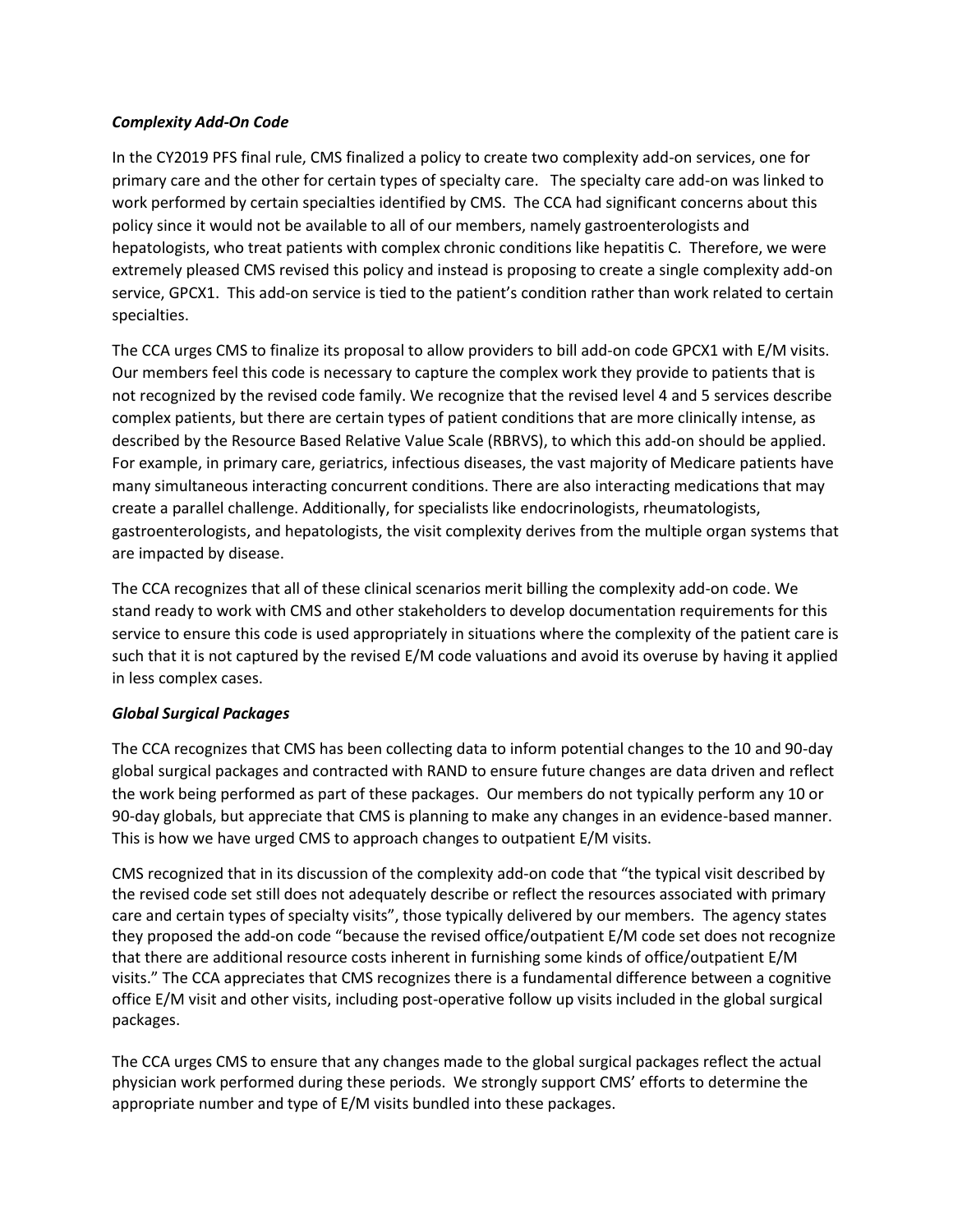### *Complexity Add-On Code*

In the CY2019 PFS final rule, CMS finalized a policy to create two complexity add-on services, one for primary care and the other for certain types of specialty care. The specialty care add-on was linked to work performed by certain specialties identified by CMS. The CCA had significant concerns about this policy since it would not be available to all of our members, namely gastroenterologists and hepatologists, who treat patients with complex chronic conditions like hepatitis C. Therefore, we were extremely pleased CMS revised this policy and instead is proposing to create a single complexity add-on service, GPCX1. This add-on service is tied to the patient's condition rather than work related to certain specialties.

The CCA urges CMS to finalize its proposal to allow providers to bill add-on code GPCX1 with E/M visits. Our members feel this code is necessary to capture the complex work they provide to patients that is not recognized by the revised code family. We recognize that the revised level 4 and 5 services describe complex patients, but there are certain types of patient conditions that are more clinically intense, as described by the Resource Based Relative Value Scale (RBRVS), to which this add-on should be applied. For example, in primary care, geriatrics, infectious diseases, the vast majority of Medicare patients have many simultaneous interacting concurrent conditions. There are also interacting medications that may create a parallel challenge. Additionally, for specialists like endocrinologists, rheumatologists, gastroenterologists, and hepatologists, the visit complexity derives from the multiple organ systems that are impacted by disease.

The CCA recognizes that all of these clinical scenarios merit billing the complexity add-on code. We stand ready to work with CMS and other stakeholders to develop documentation requirements for this service to ensure this code is used appropriately in situations where the complexity of the patient care is such that it is not captured by the revised E/M code valuations and avoid its overuse by having it applied in less complex cases.

## *Global Surgical Packages*

The CCA recognizes that CMS has been collecting data to inform potential changes to the 10 and 90-day global surgical packages and contracted with RAND to ensure future changes are data driven and reflect the work being performed as part of these packages. Our members do not typically perform any 10 or 90-day globals, but appreciate that CMS is planning to make any changes in an evidence-based manner. This is how we have urged CMS to approach changes to outpatient E/M visits.

CMS recognized that in its discussion of the complexity add-on code that "the typical visit described by the revised code set still does not adequately describe or reflect the resources associated with primary care and certain types of specialty visits", those typically delivered by our members. The agency states they proposed the add-on code "because the revised office/outpatient E/M code set does not recognize that there are additional resource costs inherent in furnishing some kinds of office/outpatient E/M visits." The CCA appreciates that CMS recognizes there is a fundamental difference between a cognitive office E/M visit and other visits, including post-operative follow up visits included in the global surgical packages.

The CCA urges CMS to ensure that any changes made to the global surgical packages reflect the actual physician work performed during these periods. We strongly support CMS' efforts to determine the appropriate number and type of E/M visits bundled into these packages.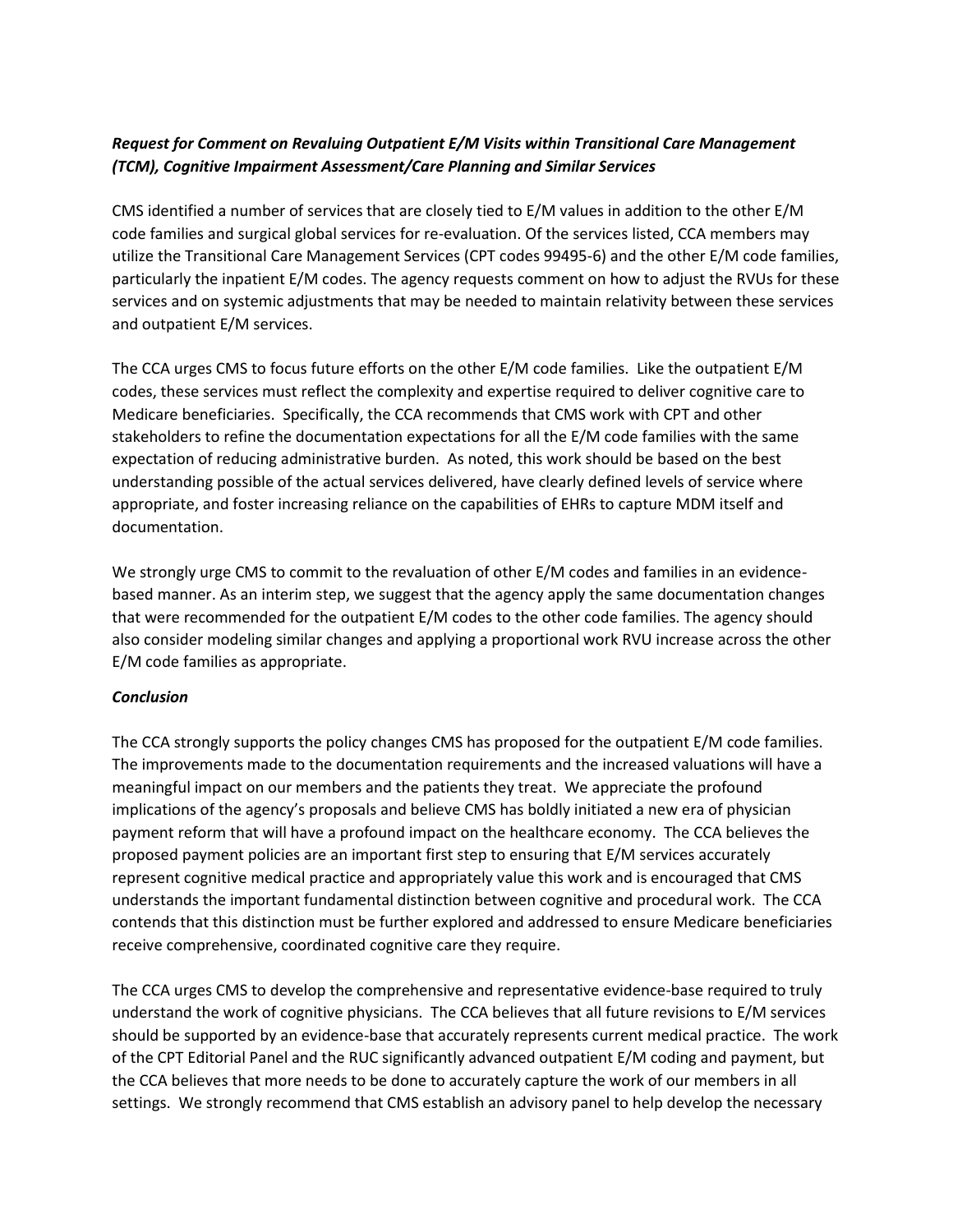# *Request for Comment on Revaluing Outpatient E/M Visits within Transitional Care Management (TCM), Cognitive Impairment Assessment/Care Planning and Similar Services*

CMS identified a number of services that are closely tied to E/M values in addition to the other E/M code families and surgical global services for re-evaluation. Of the services listed, CCA members may utilize the Transitional Care Management Services (CPT codes 99495-6) and the other E/M code families, particularly the inpatient E/M codes. The agency requests comment on how to adjust the RVUs for these services and on systemic adjustments that may be needed to maintain relativity between these services and outpatient E/M services.

The CCA urges CMS to focus future efforts on the other E/M code families. Like the outpatient E/M codes, these services must reflect the complexity and expertise required to deliver cognitive care to Medicare beneficiaries. Specifically, the CCA recommends that CMS work with CPT and other stakeholders to refine the documentation expectations for all the E/M code families with the same expectation of reducing administrative burden. As noted, this work should be based on the best understanding possible of the actual services delivered, have clearly defined levels of service where appropriate, and foster increasing reliance on the capabilities of EHRs to capture MDM itself and documentation.

We strongly urge CMS to commit to the revaluation of other E/M codes and families in an evidencebased manner. As an interim step, we suggest that the agency apply the same documentation changes that were recommended for the outpatient E/M codes to the other code families. The agency should also consider modeling similar changes and applying a proportional work RVU increase across the other E/M code families as appropriate.

## *Conclusion*

The CCA strongly supports the policy changes CMS has proposed for the outpatient E/M code families. The improvements made to the documentation requirements and the increased valuations will have a meaningful impact on our members and the patients they treat. We appreciate the profound implications of the agency's proposals and believe CMS has boldly initiated a new era of physician payment reform that will have a profound impact on the healthcare economy. The CCA believes the proposed payment policies are an important first step to ensuring that E/M services accurately represent cognitive medical practice and appropriately value this work and is encouraged that CMS understands the important fundamental distinction between cognitive and procedural work. The CCA contends that this distinction must be further explored and addressed to ensure Medicare beneficiaries receive comprehensive, coordinated cognitive care they require.

The CCA urges CMS to develop the comprehensive and representative evidence-base required to truly understand the work of cognitive physicians. The CCA believes that all future revisions to E/M services should be supported by an evidence-base that accurately represents current medical practice. The work of the CPT Editorial Panel and the RUC significantly advanced outpatient E/M coding and payment, but the CCA believes that more needs to be done to accurately capture the work of our members in all settings. We strongly recommend that CMS establish an advisory panel to help develop the necessary